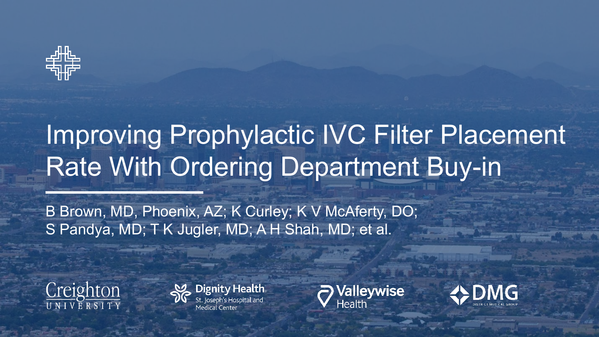

## Improving Prophylactic IVC Filter Placement Rate With Ordering Department Buy-in

B Brown, MD, Phoenix, AZ; K Curley; K V McAferty, DO; S Pandya, MD; T K Jugler, MD; A H Shah, MD; et al.







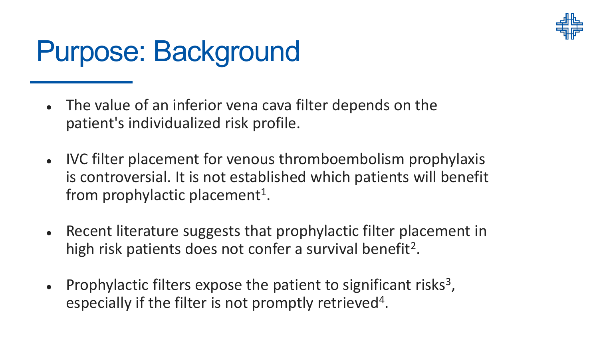

# Purpose: Background

- The value of an inferior vena cava filter depends on the patient's individualized risk profile.
- IVC filter placement for venous thromboembolism prophylaxis is controversial. It is not established which patients will benefit from prophylactic placement<sup>1</sup>.
- Recent literature suggests that prophylactic filter placement in high risk patients does not confer a survival benefit<sup>2</sup>.
- Prophylactic filters expose the patient to significant risks<sup>3</sup>, especially if the filter is not promptly retrieved4.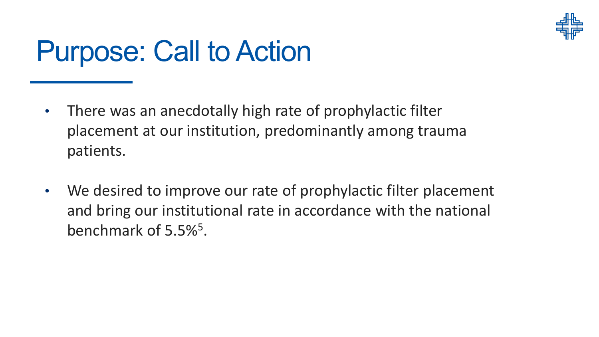

# Purpose: Call to Action

- There was an anecdotally high rate of prophylactic filter placement at our institution, predominantly among trauma patients.
- We desired to improve our rate of prophylactic filter placement and bring our institutional rate in accordance with the national benchmark of 5.5%5.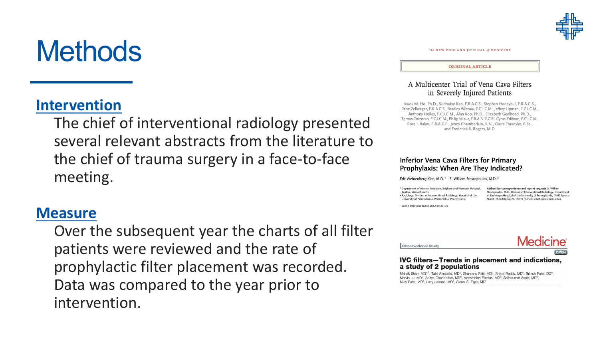

The NEW ENGLAND JOURNAL of MEDICINE

#### **ORIGINAL ARTICLE**

### A Multicenter Trial of Vena Cava Filters in Severely Injured Patients

Kwok M. Ho, Ph.D., Sudhakar Rao, F.R.A.C.S., Stephen Honeybul, F.R.A.C.S., Rene Zellweger, F.R.A.C.S., Bradley Wibrow, F.C.I.C.M., Jeffrey Lipman, F.C.I.C.M., Anthony Holley, F.C.I.C.M., Alan Kop, Ph.D., Elizabeth Geelhoed, Ph.D., Tomas Corcoran, F.C.I.C.M., Philip Misur, F.R.A.N.Z.C.R., Cyrus Edibam, F.C.I.C.M., Ross I. Baker, F.R.A.C.P., Jenny Chamberlain, R.N., Claire Forsdyke, B.Sc., and Frederick B. Rogers, M.D.

#### **Inferior Vena Cava Filters for Primary** Prophylaxis: When Are They Indicated?

Eric Wehrenberg-Klee, M.D.<sup>1</sup> S. William Stavropoulos, M.D.<sup>2</sup>

<sup>1</sup> Department of Internal Medicine, Brigham and Women's Hospital, Boston, Massachusetts <sup>2</sup> Radiology, Division of Interventional Radiology, Hospital of the University of Pennsylvania, Philadelphia, Pennsylvania

Address for correspondence and reprint requests S. William Stavropoulos, M.D., Division of Interventional Radiology, Department of Radiology, Hospital of the University of Pennsylvania, 3400 Spruce Street, Philadelphia, PA 19010 (e-mail: stav@uphs.upenn.edu).

Semin Intervent Radiol 2012:29:29-35





#### **IVC filters-Trends in placement and indications,** a study of 2 populations

Mahek Shah, MD<sup>a,\*</sup>, Talal Alnabelsi, MD<sup>b</sup>, Shantanu Patil, MD<sup>b</sup>, Shilpa Reddy, MD<sup>c</sup>, Brijesh Patel, DO<sup>a</sup>, Marvin Lu, MD<sup>b</sup>, Aditya Chandorkar, MD<sup>b</sup>, Apostholos Perelas, MD<sup>b</sup>, Shilpkumar Arora, MD<sup>d</sup>, Nilav Patel, MD<sup>e</sup>, Larry Jacobs, MD<sup>a</sup>, Glenn G. Eiger, MD<sup>1</sup>

## **Methods**

## **Intervention**

The chief of interventional radiology presented several relevant abstracts from the literature to the chief of trauma surgery in a face-to-face meeting.

## **Measure**

Over the subsequent year the charts of all filter patients were reviewed and the rate of prophylactic filter placement was recorded. Data was compared to the year prior to intervention.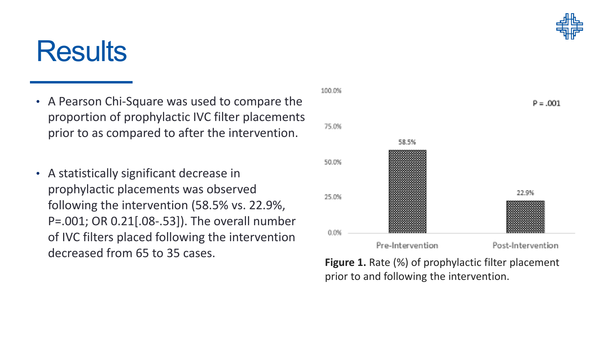

## **Results**

- A Pearson Chi-Square was used to compare the proportion of prophylactic IVC filter placements prior to as compared to after the intervention.
- A statistically significant decrease in prophylactic placements was observed following the intervention (58.5% vs. 22.9%, P=.001; OR 0.21[.08-.53]). The overall number of IVC filters placed following the intervention decreased from 65 to 35 cases.



**Figure 1.** Rate (%) of prophylactic filter placement prior to and following the intervention.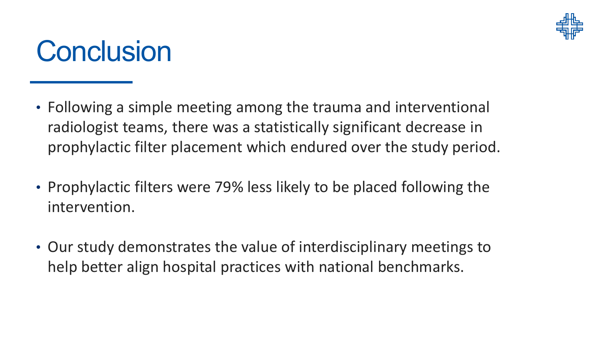

## **Conclusion**

- Following a simple meeting among the trauma and interventional radiologist teams, there was a statistically significant decrease in prophylactic filter placement which endured over the study period.
- Prophylactic filters were 79% less likely to be placed following the intervention.
- Our study demonstrates the value of interdisciplinary meetings to help better align hospital practices with national benchmarks.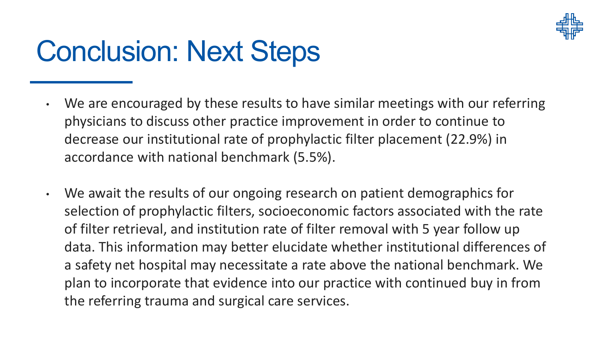

# Conclusion: Next Steps

- We are encouraged by these results to have similar meetings with our referring physicians to discuss other practice improvement in order to continue to decrease our institutional rate of prophylactic filter placement (22.9%) in accordance with national benchmark (5.5%).
- We await the results of our ongoing research on patient demographics for selection of prophylactic filters, socioeconomic factors associated with the rate of filter retrieval, and institution rate of filter removal with 5 year follow up data. This information may better elucidate whether institutional differences of a safety net hospital may necessitate a rate above the national benchmark. We plan to incorporate that evidence into our practice with continued buy in from the referring trauma and surgical care services.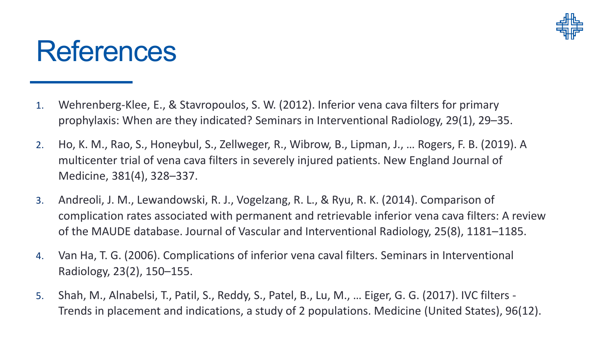

## **References**

- 1. Wehrenberg-Klee, E., & Stavropoulos, S. W. (2012). Inferior vena cava filters for primary prophylaxis: When are they indicated? Seminars in Interventional Radiology, 29(1), 29–35.
- 2. Ho, K. M., Rao, S., Honeybul, S., Zellweger, R., Wibrow, B., Lipman, J., … Rogers, F. B. (2019). A multicenter trial of vena cava filters in severely injured patients. New England Journal of Medicine, 381(4), 328–337.
- 3. Andreoli, J. M., Lewandowski, R. J., Vogelzang, R. L., & Ryu, R. K. (2014). Comparison of complication rates associated with permanent and retrievable inferior vena cava filters: A review of the MAUDE database. Journal of Vascular and Interventional Radiology, 25(8), 1181–1185.
- 4. Van Ha, T. G. (2006). Complications of inferior vena caval filters. Seminars in Interventional Radiology, 23(2), 150–155.
- 5. Shah, M., Alnabelsi, T., Patil, S., Reddy, S., Patel, B., Lu, M., … Eiger, G. G. (2017). IVC filters Trends in placement and indications, a study of 2 populations. Medicine (United States), 96(12).